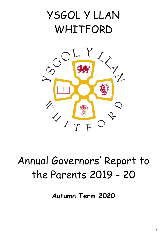



# Annual Governors' Report to the Parents 2019 - 20

**Autumn Term 2020**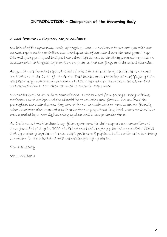# **INTRODUCTION – Chairperson of the Governing Body**

#### A word from the Chairperson, Mr Joe Williams:

On behalf of the Governing Body of Ysgol y Llan, I am pleased to present you with our annual report on the activities and developments of our school over the past year. I hope this will give you a good insight into school life as well as the always necessary data on assessment and targets, information on finance and staffing, and the school calendar.

As you can see from the report, the list of school activities is long despite the continued implications of the Covid 19 pandemic. The teachers and leadership team of Ysgol y Llan have been very proactive in continuing to teach the children throughout lockdown and this showed when the children returned to school in September.

Our pupils excelled at various competitions. These ranged from poetry & story writing, Christmas card design and the Eisteddfod to athletics and football. We achieved the prestigious Eco School green flag award for our commitment to remain an eco-friendly school and were also awarded a cash prize for our yogurt pot bug hotel. Our premises have been updated by a new digital entry system and a new perimeter fence.

As Chairman, I wish to thank my fellow governors for their support and commitment throughout the past year. 2020 has been a more challenging year than most but I believe that by working together, parents, staff, governors & pupils, we will continue in achieving our vision for the school and meet the challenges lying ahead.

Yours sincerely

Mr. J. Williams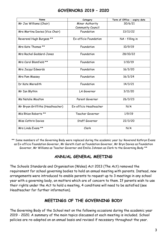#### **GOVERNORS 2019 – 2020**

| Name                             | Category               | Term of Office - expiry date |
|----------------------------------|------------------------|------------------------------|
| Mr Joe Williams (Chair)          | Minor Authority        | 30/6/21                      |
|                                  | Community Council      |                              |
| Mrs Martina Davies (Vice Chair)  | Foundation             | 13/11/22                     |
| Reverend Hugh Burgess **         | Ex-officio Foundation  | $NA - filling in$            |
| Mrs Kate Thomas **               | Foundation             | 10/9/19                      |
| Mrs Rachel Goddard-Jones         | Foundation             | 28/10/22                     |
| Mrs Carol Blomfield **           | Foundation             | 1/10/19                      |
| Mrs Jacqui Edwards               | Foundation             | 16/3/20                      |
| Mrs Pam Massey                   | Foundation             | 16/3/24                      |
| Dr Kate Meredith                 | Foundation             | 14/3/21                      |
| Mr Ian Blythin                   | LA Governor            | 3/11/20                      |
| <b>Ms Natalie Moulton</b>        | Parent Governor        | 26/3/23                      |
| Mr Bryan Griffiths (Headteacher) | Ex-officio Headteacher | N/A                          |
| Mis Rhian Roberts **             | Teacher Governor       | 1/9/19                       |
| Miss Cathrin Davies              | Staff Governor         | 22/3/20                      |
| Mrs Linda Evans **               | Clerk                  | N/A                          |

\*\* Some members of the Governing Body were replaced during the academic year by: Reverend Kathryn Evans as Ex-officio Foundation Governor, Mr Gareth Cust as Foundation Governor, Mr Bryn Davies as Foundation Governor, Mr Williams as Teacher Governor and Emilia Johnson as Clerk to the Governing Body \*\*

# **ANNUAL GENERAL MEETING**

The Schools Standards and Organisation (Wales) Act 2013 (The Act) removed the requirement for school governing bodies to hold an annual meeting with parents. Instead, new arrangements were introduced to enable parents to request up to 3 meetings in any school year with a governing body, on matters which are of concern to them. If parents wish to use their rights under the Act to hold a meeting, 4 conditions will need to be satisfied (see Headteacher for further information).

# **MEETINGS OF THE GOVERNING BODY**

The Governing Body of the School met on the following occasions during the academic year 2019 - 2020. A summary of the main topics discussed at each meeting is included. School policies are re-adopted on an annual basis and revised if necessary throughout the year.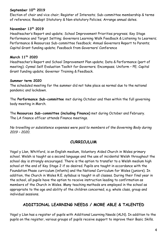#### **September 10 th 2019**

Election of chair and vice chair; Register of Interests; Sub-committee membership & terms of reference; Readopt Statutory & Non-statutory Policies; Arrange annual dates.

#### **November 13th 2019**

Headteacher's Report and update; School Improvement Priorities progress; Key Stage Performance and Target Setting; Governors Learning Walk Feedback & Listening to Learners; Performance & Resources Sub-committee feedback; Annual Governors Report to Parents; Capital Grant funding update; Feedback from Governors' Conference

#### **March 11th 2020**

Headteacher's Report and School Improvement Plan update; Data & Performance (part of meeting); Cynnal Self Evaluation Toolkit for Governors; Encompass; Uniform – PE; Capital Grant funding update; Governor Training & Feedback.

#### **Summer term 2020**

The scheduled meeting for the summer did not take place as normal due to the national pandemic and lockdown.

The **Performance Sub-committee** met during October and then within the full governing body meeting in March.

The **Resources Sub-committee (including Finance)** met during October and February. The LA finance officer attends Finance meetings.

*No travelling or subsistence expenses were paid to members of the Governing Body during 2019 – 2020.*

# **CURRICULUM**

Ysgol y Llan, Whitford, is an English medium, Voluntary Aided Church in Wales primary school. Welsh is taught as a second language and the use of incidental Welsh throughout the school day is strongly encouraged. There is the option to transfer to a Welsh medium high school at the end of Key Stage 2 if so desired. Pupils are taught in accordance with the Foundation Phase curriculum (infants) and the National Curriculum for Wales (juniors). In addition, the Church in Wales R.E. syllabus is taught in all classes. During their final year in the school, all pupils have the option to receive instruction leading to confirmation as members of the Church in Wales. Many teaching methods are employed in the school as appropriate to the age and ability of the children concerned, e.g. whole class, group and individual sessions.

# **ADDITIONAL LEARNING NEEDS / MORE ABLE & TALENTED**

Ysgol y Llan has a register of pupils with Additional Learning Needs (ALN). In addition to the pupils on the register, various groups of pupils receive support to improve their Basic Skills.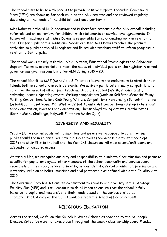The school aims to liaise with parents to provide positive support. Individual Educational Plans (IEPs) are drawn up for each child on the ALN register and are reviewed regularly depending on the needs of the child (at least once per term).

Miss Roberts is the ALN Co-ordinator and is therefore responsible for ALN overall including referrals and annual reviews for children with statements or service level agreements. In liaison with teaching staff, Miss Davies is responsible for co-ordinating work in relation to the IEPs for pupils on the Additional Needs Register. Miss Davies teaches the planned activities to pupils on the ALN register and liaises with teaching staff to inform progress in relation to IEP targets.

The school works closely with the LA's ALN team, Educational Psychologists and Behaviour Support Teams as appropriate to meet the needs of individual pupils on the register. A named governor was given responsibility for ALN during 2019 – 20.

The school identifies MAT (More Able & Talented) learners and endeavours to stretch their talents both in school and in outside events. We actively participate in many competitions to cater for the needs of all our pupils such as; Urdd Eisteddfod (Welsh, singing, craft, swimming, dance); Sporting events; Writing competitions (Meirion Griffiths Memorial Essay Writing Competition, Rotary Club Young Writers Competition); Performing (School/Flintshire Eisteddfod, FPSGA Young MC, Whitford's Got Talent); Art competitions (Bishop's Christmas Card Competition, Diocese Logo Competition, Theatr Clwyd Young Artists), Mathematics (Ruthin Maths Challenge, Holywell/Flintshire Maths Quiz).

# **DIVERSITY AND EQUALITY**

Ysgol y Llan welcomes pupils with disabilities and we are well-equipped to cater for such pupils should the need arise. We have a disabled toilet (new accessible toilet since Sept 2016) and stair lifts to the hall and the Year 1/2 classroom. All main access/exit doors are adequate for disabled access.

At Ysgol y Llan, we recognise our duty and responsibility to eliminate discrimination and promote equality for pupils, employees, other members of the school community and service users regardless of their race, gender, disability, gender identity, sexual orientation, pregnancy and maternity, religion or belief, marriage and civil partnership as defined within the Equality Act 2010.

The Governing Body has set out its' commitment to equality and diversity in the Strategic Equality Plan (SEP) and it will continue to do all it can to ensure that the school is fully inclusive to pupils, and responsive to their needs based on the various protected characteristics. A copy of the SEP is available from the school office on request.

# **RELIGIOUS EDUCATION**

Across the school, we follow the Church in Wales Scheme as provided by the St. Asaph Diocese. Collective worship takes place throughout the week – class worship every Monday,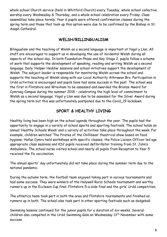whole school Church service (held in Whitford Church) every Tuesday, whole school collective worship every Wednesday & Thursday, and a whole school celebration every Friday. Class assemblies take place termly. Year 6 pupils were offered confirmation classes during the spring term and those that took up this option were due to be confirmed by the Bishop in St. Asaph Cathedral.

#### **WELSH/BILLINGUALISM**

Bilingualism and the teaching of Welsh as a second language is important at Ysgol y Llan. All staff are encouraged to support us in developing the use of incidental Welsh during all aspects of the school day. In both Foundation Phase and Key Stage 2, pupils follow a scheme of work that supports the development of speaking, reading and writing Welsh as a second language. Daily 'Helpwr Heddiw' sessions and school initiatives support the development of Welsh. The subject leader is responsible for monitoring Welsh across the school and supports the teaching of Welsh along with our Local Authority Athrawon Bro. Participation in Urdd activities is encouraged and pupils have had some success in the past. The school was the first in Flintshire and Wrexham to be assessed and awarded the Bronze Award for Cymraeg Campus during the summer 2018 – celebrating the high level of commitment to Welsh as a second language. Ysgol y Llan was due to be assessed for the Silver Award during the spring term but this was unfortunately postponed due to the Covid\_19 lockdown.

# **SPORT & HEALTHY LIVING**

Healthy living has been high on the school agenda throughout the year. The pupils had the opportunity to engage in a variety of school sports and sporting festivals. The school holds an annual 'Healthy Schools Week' and a variety of activities take place throughout the week. For example, children watched 'The Pirates of the Chillibean' theatrical show based on food hygiene; Hafan Cymru held workshops with specific classes; the Police Liaison Officer led age appropriate class sessions and KS2 pupils received defibrillator training from St. John's Ambulance. The school nurse visited school and nearly all pupils from Reception to Year 5 received the flu vaccination.

The annual sports' day unfortunately did not take place during the summer term due to the national pandemic.

During the autumn term, the football team enjoyed taking part in various tournaments and had some success. They were winners of the Holywell Rural Schools tournament and worthy runner's up in the Eccleson Cup final, Flintshire 5-a-side final and the girls' Urdd competition.

The athletics team took part in both the area and Flintshire tournaments and finished as runners up in both. The school also took part in other sporting festivals such as dodgeball.

Swimming lessons continued for the junior pupils for a duration of six-weeks. Several children also competed in the Urdd Swimming Gala on Wednesday 13<sup>th</sup> November with some success.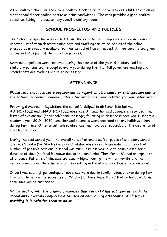As a Healthy School, we encourage healthy snack of fruit and vegetables. Children can enjoy a hot school dinner cooked on site or bring sandwiches. The cook provides a good healthy selection, taking into account any specific dietary needs.

# **SCHOOL PROSPECTUS AND POLICIES**

The School Prospectus was revised during the year. Minor changes were made including an updated list of term dates/training days and staffing structure. Copies of the school prospectus are readily available from our school office on request. All new parents are given a prospectus as part of the induction process.

Many model policies were reviewed during the course of the year. Statutory and Nonstatutory policies are re-adopted every year during the first full governors meeting and amendments are made as and when necessary.

# **ATTENDANCE**

#### *Please note that it is not a requirement to report on attendance on this occasion due to the national pandemic, however, this information has been included for your information.*

Following Government legislation, the school is obliged to differentiate between AUTHORISED and UNAUTHORISED absences. An unauthorised absence is recorded if no letter of explanation (or verbal/phone message) following an absence is received. During the academic year 2019 – 2020, unauthorised absences were recorded for any holidays taken during term time. Other unauthorised absences may have been recorded at the discretion of the Headteacher.

During the past school year the overall rate of attendance (for pupils of statutory school age) was 93.64% (94.74% less any Covid related absences). Please note that the actual number of possible sessions in school was much less last year due to being closed for a duration of time (national lockdown due to the pandemic). Therefore, this had an impact on attendance. Patterns of illnesses are usually higher during the winter months and then reduce again during the summer months resulting in the attendance figure to balance out.

In past years, a high percentage of absences were due to family holidays taken during term time and therefore the Governors of Ysgol y Llan have since stated that no holidays during term time will be authorised.

*Whilst dealing with the ongoing challenges that Covid-19 has put upon us, both the school and Governing Body remain focused on encouraging attendance of all pupils providing it is safe for them to do so.*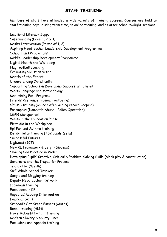#### **STAFF TRAINING**

Members of staff have attended a wide variety of training courses. Courses are held on staff training days, during term time, as online training, and as after school twilight sessions.

Emotional Literacy Support Safeguarding (Level 1, 2 & 3) Maths Intervention (Power of 1, 2) Aspiring Headteacher Leadership Development Programme School Fund Regulations Middle Leadership Development Programme Digital Health and Wellbeing Flag football coaching Evaluating Christian Vision Mantle of the Expert Understanding Christianity Supporting Schools in Developing Successful Futures Welsh Language and Methodology Maximising Pupil Progress Friends Resilience training (wellbeing) CPOMS training (online Safeguarding record keeping) Encompass (Domestic Abuse – Police Operation) LEAN Management Welsh in the Foundation Phase First Aid in the Workplace Epi-Pen and Asthma training Defibrillator training (KS2 pupils & staff) Successful Futures DigiMeet (ICT) New RE Framework & Estyn (Diocese) Sharing God Practice in Welsh Developing Pupils' Creative, Critical & Problem-Solving Skills (block play & construction) Governors and the Inspection Process Tric a Chlic (Welsh) GwE Whole School Tracker Google and Blogging training Deputy Headteacher Network Lockdown training Excellence in RE Repeated Reading Intervention Financial Skills Grandad's Got Green Fingers (Maths) Boxall training (ALN) Hywel Roberts twilight training Modern Slavery & County Lines Exclusions and Appeals training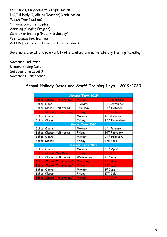Exclusions, Engagement & Exploitation NQT (Newly Qualifies Teacher) Verification Welsh (Verification) 12 Pedagogical Principles Amasing (Singing Project) Caretaker training (Health & Safety) Peer Inspection training ALN Reform (various meetings and training)

Governors also attended a variety of statutory and non-statutory training including:

Governor Induction Understanding Data Safeguarding Level 3 Governors' Conference

# **School Holiday Dates and Staff Training Days – 2019/2020**

| <b>Autumn Term 2019</b>             |                         |                           |  |  |
|-------------------------------------|-------------------------|---------------------------|--|--|
| <b>School Closed (Training day)</b> | Monday                  | 2 <sup>nd</sup> September |  |  |
| School Opens                        | Tuesday                 | 3rd September             |  |  |
| School Closes (Half term)           | Thursday                | 24th October              |  |  |
| <b>School Closed (Training day)</b> | Friday                  | 25th October              |  |  |
| School Opens                        | Monday                  | 4 <sup>th</sup> November  |  |  |
| School Closes                       | Friday                  | 20 <sup>th</sup> December |  |  |
|                                     | <b>Spring Term 2020</b> |                           |  |  |
| School Opens                        | Monday                  | 6 <sup>th</sup> January   |  |  |
| School Closes (Half term)           | Friday                  | 14 <sup>th</sup> February |  |  |
| School Opens                        | Monday                  | 24 <sup>th</sup> February |  |  |
| School Closes                       | Friday                  | 3rd April                 |  |  |
|                                     | Summer Term 2020        |                           |  |  |
| School Opens                        | Monday                  | 20 <sup>th</sup> April    |  |  |
| <b>School Closed (May Day)</b>      | <b>Friday</b>           | 8 <sup>th</sup> May       |  |  |
| School Closes (Half term)           | Wednesday               | 20 <sup>th</sup> May      |  |  |
| <b>School Closed (Training day)</b> | Thursday                | 21st May                  |  |  |
| <b>School Closed (Training day)</b> | <b>Friday</b>           | 22 <sup>nd</sup> May      |  |  |
| School Opens                        | Monday                  | $1st$ June                |  |  |
| School Closes                       | Friday                  | 17 <sup>th</sup> July     |  |  |
| <b>School Closed (Training day)</b> | Monday                  | 20 <sup>th</sup> July     |  |  |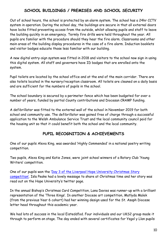# **SCHOOL BUILDINGS / PREMISES AND SCHOOL SECURITY**

Out of school hours, the school is protected by an alarm system. The school has a 24hr CCTV system in operation. During the school day, the buildings are secure in that all external doors have locks fitted preventing access from the outside, whilst allowing pupils and staff to leave the building quickly in an emergency. Termly fire drills were held throughout the year. All pupils are familiar with the procedure should they hear the fire alarm. Classrooms and other main areas of the building display procedures in the case of a fire alarm. Induction booklets and visitor badges educate those less familiar with our building.

A new digital entry-sign system was fitted in 2018 and visitors to the school now sign in using this digital system. All staff and governors have ID badges that are enrolled onto the system.

Pupil toilets are located by the school office and at the end of the main corridor. There are also toilets located in the nursery/reception classroom. All toilets are cleaned on a daily basis and are sufficient for the numbers of pupils in the school.

The school boundary is secured by a perimeter fence which has been budgeted for over a number of years, funded by partial County contributions and Diocesan CRAMP funding.

A defibrillator was fitted to the external wall of the school in November 2019 for both school and community use. The defibrillator was gained free of charge through a successful application to the Welsh Ambulance Service Trust and the local community council paid for the housing unit so that it could benefit both the school and the local community.

# **PUPIL RECOGNITION & ACHIEVEMENTS**

One of our pupils Alexa King, was awarded 'Highly Commended' in a national poetry writing competition.

Two pupils, Alexa King and Katie Jones, were joint school winners of a Rotary Club 'Young Writers' competition.

One of our pupils won the 'Day 3 of the Liverpool Hope University Christmas Story [competition'](https://twitter.com/YsgolyLlan/status/1204778171457003523?s=20). Isla Peake had a lovely message to share at Christmas time and her story was read out on the Hope University's twitter page.

In the annual Bishop's Christmas Card Competition, Lana Davies was runner-up with a brilliant representation of the 'Three Kings'. In another Diocese art competition, Matlyda Malek (from the previous Year 6 cohort) had her winning design used for the St. Asaph Diocese letter head throughout this academic year.

We had lots of success in the local Eisteddfod. Four individuals and our UKS2 group made it through to perform on stage. The day ended with several certificates for Ysgol y Llan pupils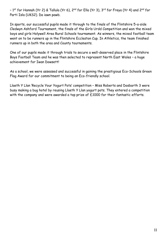– 1<sup>st</sup> for Hannah (Yr 2) & Tallula (Yr 6), 2<sup>nd</sup> for Ella (Yr 3), 3<sup>rd</sup> for Freya (Yr 4) and 2<sup>nd</sup> for Parti Isla (UKS2). Da iawn pawb.

In sports, our successful pupils made it through to the finals of the Flintshire 5-a-side Cledwyn Ashford Tournament, the finals of the Girls Urdd Competition and won the mixed boys and girls Holywell Area Rural Schools tournament. As winners, the mixed football team went on to be runners up in the Flintshire Eccleston Cup. In Athletics, the team finished runners up in both the area and County tournaments.

One of our pupils made it through trials to secure a well-deserved place in the Flintshire Boys Football Team and he was then selected to represent North East Wales – a huge achievement for Iwan Dowsett!

As a school, we were assessed and successful in gaining the prestigious Eco-Schools Green Flag Award for our commitment to being an Eco-friendly school.

Llaeth Y Llan 'Recycle Your Yogurt Pots' competition – Miss Roberts and Dosbarth 3 were busy making a bug hotel by reusing Llaeth Y Llan yogurt pots. They entered a competition with the company and were awarded a top prize of £1000 for their fantastic efforts.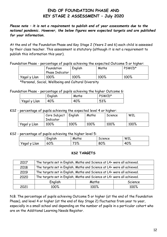# **END OF FOUNDATION PHASE AND KEY STAGE 2 ASSESSMENT – July 2020**

*Please note – it is not a requirement to publish end of year assessments due to the national pandemic. However, the below figures were expected targets and are published for your information.*

At the end of the Foundation Phase and Key Stage 2 (Years 2 and 6) each child is assessed by their class teacher. This assessment is statutory (although it is not a requirement to publish this information this year).

Foundation Phase - percentage of pupils achieving the expected Outcome 5 or higher:

|              | Foundation<br><b>Phase Indicator</b> | English | Maths | PSWCD* |
|--------------|--------------------------------------|---------|-------|--------|
| Ysgol y Llan | 100%                                 | 100%    | 100%  | 100%   |

\*Personal, Social, Wellbeing and Cultural Diversity

Foundation Phase - percentage of pupils achieving the higher Outcome 6:

|              | English | Maths | PSWCD* |
|--------------|---------|-------|--------|
| Ysgol y Llan | 40%     | 40%   | 53%    |

KS2 - percentage of pupils achieving the expected level 4 or higher:

|              | Core Subject<br>Indicator | English | Maths | Science | W2L  |
|--------------|---------------------------|---------|-------|---------|------|
| Ysgol y Llan | 100%                      | 100%    | 100%  | 100%    | 100% |

KS2 - percentage of pupils achieving the higher level 5:

|                 | $\cdot$<br>English | Maths        | Science | W2L |
|-----------------|--------------------|--------------|---------|-----|
| Ysgol y<br>Llan | 60%                | 7201<br>ە/ ب | 80%     | 40% |

#### **KS2 TARGETS**

| 2017 | The targets set in English, Maths and Science at L4+ were all achieved. |       |         |
|------|-------------------------------------------------------------------------|-------|---------|
| 2018 | The targets set in English, Maths and Science at L4+ were all achieved. |       |         |
| 2019 | The targets set in English, Maths and Science at L4+ were all achieved. |       |         |
| 2020 | The targets set in English, Maths and Science at L4+ were all achieved. |       |         |
|      | English                                                                 | Maths | Science |
| 2021 | 100%                                                                    | 100%  | 100%    |

N.B. The percentage of pupils achieving Outcome 5 or higher (at the end of the Foundation Phase), and level 4 or higher (at the end of Key Stage 2) fluctuates from year to year, especially in a small school and depending on the number of pupils in a particular cohort who are on the Additional Learning Needs Register.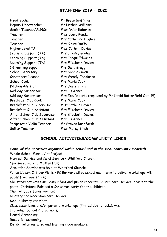#### **STAFFING 2019 - 2020**

Headteacher Mr Bryan Griffiths Deputy Headteacher Mr Nathan Williams Senior Teacher/ALNCo Miss Rhian Roberts Teacher Miss Laura Randall Teacher Mrs Catherine Hughes Teacher Mrs Claire Duffy Higher Level TA Miss Cathrin Davies Learning Support (TA) Mrs Lindsey Graham Learning Support (TA) Mrs Jacqui Edwards Learning Support (TA) Mrs Elizabeth Davies 1-1 learning support Mrs Sally Bragg School Secretary Mrs Sophie Owen Caretaker/Cleaner Mrs Wendy Jenkinson School Cook Mrs Marie Cook Kitchen Assistant Mrs Diane Birch Mid-day Supervisor Mrs Liz Jones Mid-day Supervisor Mrs Zoe Roberts (replaced by Mr David Butterfield Oct '19) Breakfast Club Cook Mrs Marie Cook Breakfast Club Supervisor Miss Cathrin Davies Breakfast Club Assistant Mrs Elizabeth Davies After School Club Supervisor Mrs Elizabeth Davies After School Club Assistant Mrs Liz Jones Peripatetic Violin Teacher Mr Steven Rushforth Guitar Teacher Miss Mercy Birch

# **SCHOOL ACTIVITIES/COMMUNITY LINKS**

*Some of the activities organised within school and in the local community included:* Whole School Mosaic Art Project; Harvest Service and Carol Service – Whitford Church; Sponsored walk to Mostyn Hall; Armistice Service was held at Whitford Church; Police Liaison Officer Visits – PC Barker visited school each term to deliver workshops with pupils from years 1 – 6; Christmas activities including infant and junior concerts, Church carol service, a visit to the panto, Christmas Fair and a Christmas party for the children; Choir at Jade Jones Pavilion; Nursery and Reception carol service; Mobile library van visits; Class assemblies and/or parental workshops (limited due to lockdown); Individual School Photographs; Dental Screening; Reception screening; Defibrillator installed and training made available;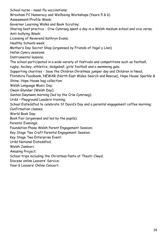School nurse – nasal flu vaccinations;

Wrexham FC Numeracy and Wellbeing Workshops (Years 5 & 6)

Assessment/Profile Week;

Governor Learning Walks and Book Scrutiny;

Sharing best practice - Criw Cymraeg spent a day in a Welsh medium school and vice versa; Anti-bullying Week;

Licensing of Reverend Kathryn Evans;

Healthy Schools week;

Mother's Day Secret Shop (organised by Friends of Ysgol y Llan);

Hafan Cymru sessions;

Instrumental lessons;

The school participated in a wide variety of festivals and competitions such as football,

rugby, hockey, athletics, dodgeball, girls' football and a swimming gala;

Supporting charities - Save the Children Christmas jumper day and Children in Need,

Flintshire Foodbank, NEWAR (North East Wales Search and Rescue), Hope House Sparkle & Shine; Hope House bag collection;

Welsh Language Music Day;

Owain Glyndwr (Welsh Day);

Santes Dwynwen morning (led by the Criw Cymraeg);

Urdd – Playground Leaders training;

School Eisteddfod to celebrate St David's Day and a parental engagement coffee morning;

Confirmation classes;

World Book Day;

Book Fair (organised and led by the pupils);

Parents' Evenings;

Foundation Phase Welsh Parent Engagement Session;

Key Stage Two Craft Parental Engagement Session;

Key Stage Two Enterprise Event;

Urdd National Eisteddfod;

Welsh Jambori;

Amasing Project;

School trips including the Christmas Panto at Theatr Clwyd;

Diocese online Leavers' Service;

Year 6 Leavers' Online Concert;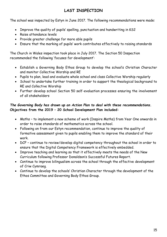# **LAST INSPECTION**

The school was inspected by Estyn in June 2017. The following recommendations were made:

- Improve the quality of pupils' spelling, punctuation and handwriting in KS2
- Raise attendance levels
- Provide greater challenge for more able pupils
- Ensure that the marking of pupils' work contributes effectively to raising standards

The Church in Wales inspection took place in July 2017. The Section 50 Inspection recommended the following 'focuses for development':

- Establish a Governing Body Ethos Group to develop the school's Christian Character and monitor Collective Worship and RE
- Pupils to plan, lead and evaluate whole school and class Collective Worship regularly
- School to undertake further training in order to support the theological background to RE and Collective Worship
- Further develop school Section 50 self-evaluation processes ensuring the involvement of all stakeholders

#### *The Governing Body has drawn up an Action Plan to deal with these recommendations.* **Objectives from the 2019 – 20 School Development Plan included:**

- Maths to implement a new scheme of work (Inspire Maths) from Year One onwards in order to raise standards of mathematics across the school.
- Following on from our Estyn recommendation, continue to improve the quality of formative assessment given to pupils enabling them to improve the standard of their work.
- DCF continue to review/develop digital competency throughout the school in order to ensure that the Digital Competency Framework is effectively embedded.
- Improve teaching and learning so that it effectively meets the needs of the New Curriculum following Professor Donaldson's Successful Futures Report.
- Continue to improve bilingualism across the school through the effective development of Criw Cymraeg.
- Continue to develop the schools' Christian Character through the development of the Ethos Committee and Governing Body Ethos Group.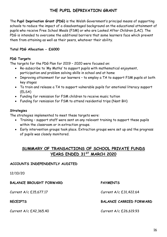# **THE PUPIL DEPRIVATION GRANT**

The **Pupil Deprivation Grant (PDG)** is the Welsh Government's principal means of supporting schools to reduce the impact of a disadvantaged background on the educational attainment of pupils who receive Free School Meals (FSM) or who are Looked After Children (LAC). The PDG is intended to overcome the additional barriers that some learners face which prevent them from attaining as well as their peers, whatever their ability.

#### **Total PDG Allocation - £6000**

#### **PDG Targets**

The targets for the PDG Plan for 2019 – 2020 were focused on:

- Re-subscribe to 'My Maths' to support pupils with mathematical enjoyment, participation and problem solving skills in school and at home
- Improving attainment for our learners to employ a TA to support FSM pupils at both key stages
- To train and release a TA to support vulnerable pupils for emotional literacy support (ELSA)
- Funding for remission for FSM children to receive music tuition
- Funding for remission for FSM to attend residential trips (Nant BH)

#### **Strategies**

The strategies implemented to meet these targets were:

- Training support staff were sent on any relevant training to support these pupils within the classroom or in extraction groups.
- Early intervention groups took place. Extraction groups were set up and the progress of pupils was closely monitored.

# **SUMMARY OF TRANSACTIONS OF SCHOOL PRIVATE FUNDS YEARS ENDED 31ST MARCH 2020**

#### **ACCOUNTS INDEPENDENTLY AUDITED**

12/10/20

**BALANCE BROUGHT FORWARD PAYMENTS**

Current A/c £42,365.40 Current A/c £26,619.93

Current A/c £15,677.17 Current A/c £31,422.64

#### **RECEIPTS BALANCE CARRIED FORWARD**